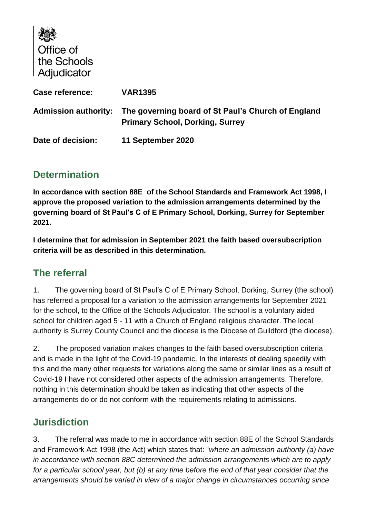| Office of<br>the Schools<br><b>Adjudicator</b> |                                                                                              |
|------------------------------------------------|----------------------------------------------------------------------------------------------|
| Case reference:                                | <b>VAR1395</b>                                                                               |
| <b>Admission authority:</b>                    | The governing board of St Paul's Church of England<br><b>Primary School, Dorking, Surrey</b> |
| Date of decision:                              | 11 September 2020                                                                            |

## **Determination**

 $\mathbf{I}$  and  $\mathbf{A}$ 

**In accordance with section 88E of the School Standards and Framework Act 1998, I approve the proposed variation to the admission arrangements determined by the governing board of St Paul's C of E Primary School, Dorking, Surrey for September 2021.**

**I determine that for admission in September 2021 the faith based oversubscription criteria will be as described in this determination.**

## **The referral**

1. The governing board of St Paul's C of E Primary School, Dorking, Surrey (the school) has referred a proposal for a variation to the admission arrangements for September 2021 for the school, to the Office of the Schools Adjudicator. The school is a voluntary aided school for children aged 5 - 11 with a Church of England religious character. The local authority is Surrey County Council and the diocese is the Diocese of Guildford (the diocese).

2. The proposed variation makes changes to the faith based oversubscription criteria and is made in the light of the Covid-19 pandemic. In the interests of dealing speedily with this and the many other requests for variations along the same or similar lines as a result of Covid-19 I have not considered other aspects of the admission arrangements. Therefore, nothing in this determination should be taken as indicating that other aspects of the arrangements do or do not conform with the requirements relating to admissions.

## **Jurisdiction**

3. The referral was made to me in accordance with section 88E of the School Standards and Framework Act 1998 (the Act) which states that: "*where an admission authority (a) have in accordance with section 88C determined the admission arrangements which are to apply for a particular school year, but (b) at any time before the end of that year consider that the arrangements should be varied in view of a major change in circumstances occurring since*